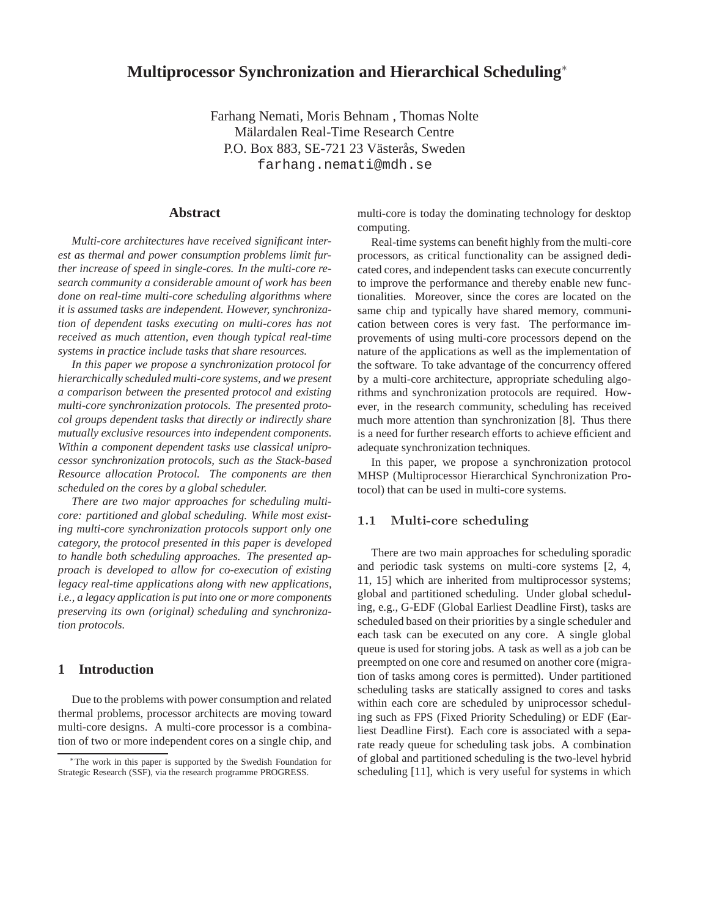# **Multiprocessor Synchronization and Hierarchical Scheduling**<sup>∗</sup>

Farhang Nemati, Moris Behnam , Thomas Nolte Mälardalen Real-Time Research Centre P.O. Box 883, SE-721 23 Västerås, Sweden farhang.nemati@mdh.se

## **Abstract**

*Multi-core architectures have received significant interest as thermal and power consumption problems limit further increase of speed in single-cores. In the multi-core research community a considerable amount of work has been done on real-time multi-core scheduling algorithms where it is assumed tasks are independent. However, synchronization of dependent tasks executing on multi-cores has not received as much attention, even though typical real-time systems in practice include tasks that share resources.*

*In this paper we propose a synchronization protocol for hierarchically scheduled multi-core systems, and we present a comparison between the presented protocol and existing multi-core synchronization protocols. The presented protocol groups dependent tasks that directly or indirectly share mutually exclusive resources into independent components. Within a component dependent tasks use classical uniprocessor synchronization protocols, such as the Stack-based Resource allocation Protocol. The components are then scheduled on the cores by a global scheduler.*

*There are two major approaches for scheduling multicore: partitioned and global scheduling. While most existing multi-core synchronization protocols support only one category, the protocol presented in this paper is developed to handle both scheduling approaches. The presented approach is developed to allow for co-execution of existing legacy real-time applications along with new applications, i.e., a legacy application is put into one or more components preserving its own (original) scheduling and synchronization protocols.*

## **1 Introduction**

Due to the problems with power consumption and related thermal problems, processor architects are moving toward multi-core designs. A multi-core processor is a combination of two or more independent cores on a single chip, and multi-core is today the dominating technology for desktop computing.

Real-time systems can benefit highly from the multi-core processors, as critical functionality can be assigned dedicated cores, and independent tasks can execute concurrently to improve the performance and thereby enable new functionalities. Moreover, since the cores are located on the same chip and typically have shared memory, communication between cores is very fast. The performance improvements of using multi-core processors depend on the nature of the applications as well as the implementation of the software. To take advantage of the concurrency offered by a multi-core architecture, appropriate scheduling algorithms and synchronization protocols are required. However, in the research community, scheduling has received much more attention than synchronization [8]. Thus there is a need for further research efforts to achieve efficient and adequate synchronization techniques.

In this paper, we propose a synchronization protocol MHSP (Multiprocessor Hierarchical Synchronization Protocol) that can be used in multi-core systems.

## 1.1 Multi-core scheduling

There are two main approaches for scheduling sporadic and periodic task systems on multi-core systems [2, 4, 11, 15] which are inherited from multiprocessor systems; global and partitioned scheduling. Under global scheduling, e.g., G-EDF (Global Earliest Deadline First), tasks are scheduled based on their priorities by a single scheduler and each task can be executed on any core. A single global queue is used for storing jobs. A task as well as a job can be preempted on one core and resumed on another core (migration of tasks among cores is permitted). Under partitioned scheduling tasks are statically assigned to cores and tasks within each core are scheduled by uniprocessor scheduling such as FPS (Fixed Priority Scheduling) or EDF (Earliest Deadline First). Each core is associated with a separate ready queue for scheduling task jobs. A combination of global and partitioned scheduling is the two-level hybrid scheduling [11], which is very useful for systems in which

<sup>∗</sup>The work in this paper is supported by the Swedish Foundation for Strategic Research (SSF), via the research programme PROGRESS.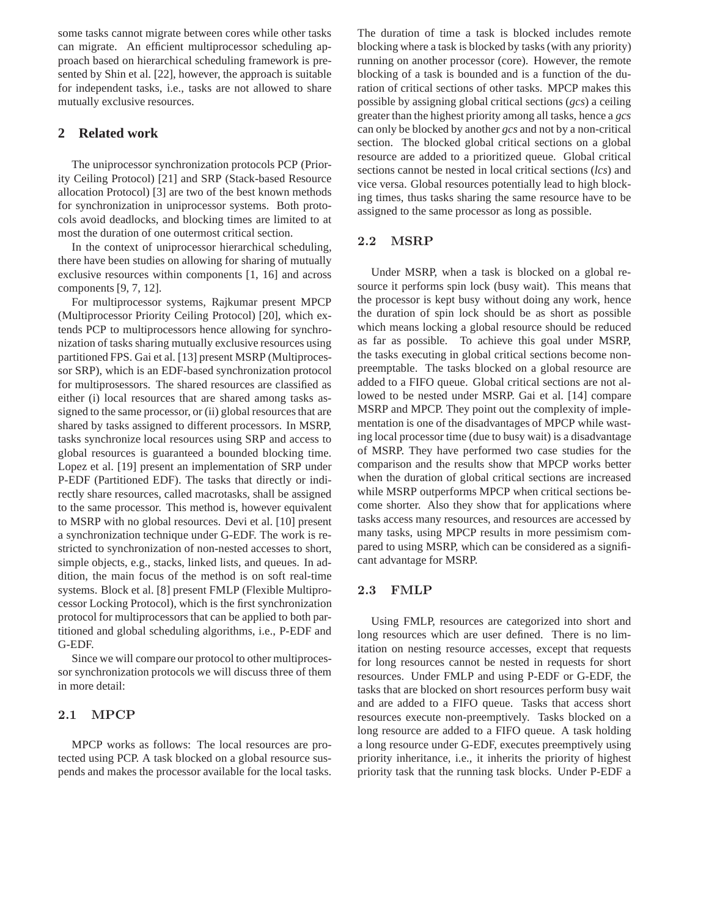some tasks cannot migrate between cores while other tasks can migrate. An efficient multiprocessor scheduling approach based on hierarchical scheduling framework is presented by Shin et al. [22], however, the approach is suitable for independent tasks, i.e., tasks are not allowed to share mutually exclusive resources.

# **2 Related work**

The uniprocessor synchronization protocols PCP (Priority Ceiling Protocol) [21] and SRP (Stack-based Resource allocation Protocol) [3] are two of the best known methods for synchronization in uniprocessor systems. Both protocols avoid deadlocks, and blocking times are limited to at most the duration of one outermost critical section.

In the context of uniprocessor hierarchical scheduling, there have been studies on allowing for sharing of mutually exclusive resources within components [1, 16] and across components [9, 7, 12].

For multiprocessor systems, Rajkumar present MPCP (Multiprocessor Priority Ceiling Protocol) [20], which extends PCP to multiprocessors hence allowing for synchronization of tasks sharing mutually exclusive resources using partitioned FPS. Gai et al. [13] present MSRP (Multiprocessor SRP), which is an EDF-based synchronization protocol for multiprosessors. The shared resources are classified as either (i) local resources that are shared among tasks assigned to the same processor, or (ii) global resources that are shared by tasks assigned to different processors. In MSRP, tasks synchronize local resources using SRP and access to global resources is guaranteed a bounded blocking time. Lopez et al. [19] present an implementation of SRP under P-EDF (Partitioned EDF). The tasks that directly or indirectly share resources, called macrotasks, shall be assigned to the same processor. This method is, however equivalent to MSRP with no global resources. Devi et al. [10] present a synchronization technique under G-EDF. The work is restricted to synchronization of non-nested accesses to short, simple objects, e.g., stacks, linked lists, and queues. In addition, the main focus of the method is on soft real-time systems. Block et al. [8] present FMLP (Flexible Multiprocessor Locking Protocol), which is the first synchronization protocol for multiprocessors that can be applied to both partitioned and global scheduling algorithms, i.e., P-EDF and G-EDF.

Since we will compare our protocol to other multiprocessor synchronization protocols we will discuss three of them in more detail:

## 2.1 MPCP

MPCP works as follows: The local resources are protected using PCP. A task blocked on a global resource suspends and makes the processor available for the local tasks. The duration of time a task is blocked includes remote blocking where a task is blocked by tasks (with any priority) running on another processor (core). However, the remote blocking of a task is bounded and is a function of the duration of critical sections of other tasks. MPCP makes this possible by assigning global critical sections (*gcs*) a ceiling greater than the highest priority among all tasks, hence a *gcs* can only be blocked by another *gcs* and not by a non-critical section. The blocked global critical sections on a global resource are added to a prioritized queue. Global critical sections cannot be nested in local critical sections (*lcs*) and vice versa. Global resources potentially lead to high blocking times, thus tasks sharing the same resource have to be assigned to the same processor as long as possible.

# 2.2 MSRP

Under MSRP, when a task is blocked on a global resource it performs spin lock (busy wait). This means that the processor is kept busy without doing any work, hence the duration of spin lock should be as short as possible which means locking a global resource should be reduced as far as possible. To achieve this goal under MSRP, the tasks executing in global critical sections become nonpreemptable. The tasks blocked on a global resource are added to a FIFO queue. Global critical sections are not allowed to be nested under MSRP. Gai et al. [14] compare MSRP and MPCP. They point out the complexity of implementation is one of the disadvantages of MPCP while wasting local processor time (due to busy wait) is a disadvantage of MSRP. They have performed two case studies for the comparison and the results show that MPCP works better when the duration of global critical sections are increased while MSRP outperforms MPCP when critical sections become shorter. Also they show that for applications where tasks access many resources, and resources are accessed by many tasks, using MPCP results in more pessimism compared to using MSRP, which can be considered as a significant advantage for MSRP.

## 2.3 FMLP

Using FMLP, resources are categorized into short and long resources which are user defined. There is no limitation on nesting resource accesses, except that requests for long resources cannot be nested in requests for short resources. Under FMLP and using P-EDF or G-EDF, the tasks that are blocked on short resources perform busy wait and are added to a FIFO queue. Tasks that access short resources execute non-preemptively. Tasks blocked on a long resource are added to a FIFO queue. A task holding a long resource under G-EDF, executes preemptively using priority inheritance, i.e., it inherits the priority of highest priority task that the running task blocks. Under P-EDF a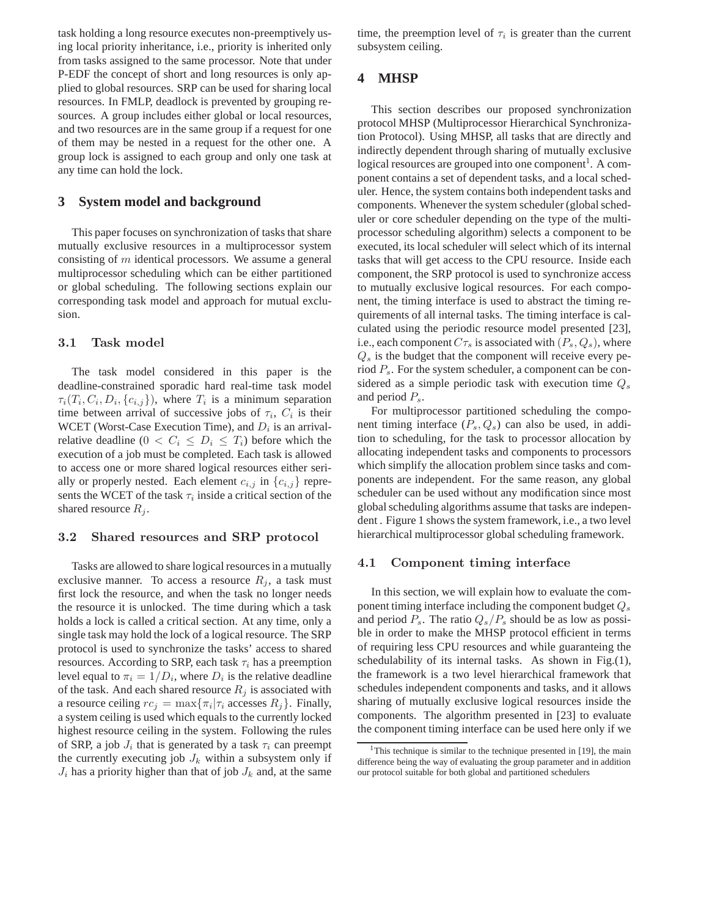task holding a long resource executes non-preemptively using local priority inheritance, i.e., priority is inherited only from tasks assigned to the same processor. Note that under P-EDF the concept of short and long resources is only applied to global resources. SRP can be used for sharing local resources. In FMLP, deadlock is prevented by grouping resources. A group includes either global or local resources, and two resources are in the same group if a request for one of them may be nested in a request for the other one. A group lock is assigned to each group and only one task at any time can hold the lock.

## **3 System model and background**

This paper focuses on synchronization of tasks that share mutually exclusive resources in a multiprocessor system consisting of  $m$  identical processors. We assume a general multiprocessor scheduling which can be either partitioned or global scheduling. The following sections explain our corresponding task model and approach for mutual exclusion.

## 3.1 Task model

The task model considered in this paper is the deadline-constrained sporadic hard real-time task model  $\tau_i(T_i, C_i, D_i, \{c_{i,j}\})$ , where  $T_i$  is a minimum separation time between arrival of successive jobs of  $\tau_i$ ,  $C_i$  is their WCET (Worst-Case Execution Time), and  $D_i$  is an arrivalrelative deadline  $(0 < C_i \leq D_i \leq T_i)$  before which the execution of a job must be completed. Each task is allowed to access one or more shared logical resources either serially or properly nested. Each element  $c_{i,j}$  in  $\{c_{i,j}\}$  represents the WCET of the task  $\tau_i$  inside a critical section of the shared resource  $R_j$ .

#### 3.2 Shared resources and SRP protocol

Tasks are allowed to share logical resources in a mutually exclusive manner. To access a resource  $R_j$ , a task must first lock the resource, and when the task no longer needs the resource it is unlocked. The time during which a task holds a lock is called a critical section. At any time, only a single task may hold the lock of a logical resource. The SRP protocol is used to synchronize the tasks' access to shared resources. According to SRP, each task  $\tau_i$  has a preemption level equal to  $\pi_i = 1/D_i$ , where  $D_i$  is the relative deadline of the task. And each shared resource  $R_i$  is associated with a resource ceiling  $rc_j = \max{\lbrace \pi_i | \tau_i \text{ accesses } R_j \rbrace}$ . Finally, a system ceiling is used which equals to the currently locked highest resource ceiling in the system. Following the rules of SRP, a job  $J_i$  that is generated by a task  $\tau_i$  can preempt the currently executing job  $J_k$  within a subsystem only if  $J_i$  has a priority higher than that of job  $J_k$  and, at the same

time, the preemption level of  $\tau_i$  is greater than the current subsystem ceiling.

## **4 MHSP**

This section describes our proposed synchronization protocol MHSP (Multiprocessor Hierarchical Synchronization Protocol). Using MHSP, all tasks that are directly and indirectly dependent through sharing of mutually exclusive logical resources are grouped into one component<sup>1</sup>. A component contains a set of dependent tasks, and a local scheduler. Hence, the system contains both independent tasks and components. Whenever the system scheduler (global scheduler or core scheduler depending on the type of the multiprocessor scheduling algorithm) selects a component to be executed, its local scheduler will select which of its internal tasks that will get access to the CPU resource. Inside each component, the SRP protocol is used to synchronize access to mutually exclusive logical resources. For each component, the timing interface is used to abstract the timing requirements of all internal tasks. The timing interface is calculated using the periodic resource model presented [23], i.e., each component  $C\tau_s$  is associated with  $(P_s, Q_s)$ , where  $Q_s$  is the budget that the component will receive every period  $P_s$ . For the system scheduler, a component can be considered as a simple periodic task with execution time  $Q_s$ and period  $P_s$ .

For multiprocessor partitioned scheduling the component timing interface  $(P_s, Q_s)$  can also be used, in addition to scheduling, for the task to processor allocation by allocating independent tasks and components to processors which simplify the allocation problem since tasks and components are independent. For the same reason, any global scheduler can be used without any modification since most global scheduling algorithms assume that tasks are independent . Figure 1 shows the system framework, i.e., a two level hierarchical multiprocessor global scheduling framework.

## 4.1 Component timing interface

In this section, we will explain how to evaluate the component timing interface including the component budget  $Q_s$ and period  $P_s$ . The ratio  $Q_s/P_s$  should be as low as possible in order to make the MHSP protocol efficient in terms of requiring less CPU resources and while guaranteing the schedulability of its internal tasks. As shown in Fig.(1), the framework is a two level hierarchical framework that schedules independent components and tasks, and it allows sharing of mutually exclusive logical resources inside the components. The algorithm presented in [23] to evaluate the component timing interface can be used here only if we

<sup>&</sup>lt;sup>1</sup>This technique is similar to the technique presented in [19], the main difference being the way of evaluating the group parameter and in addition our protocol suitable for both global and partitioned schedulers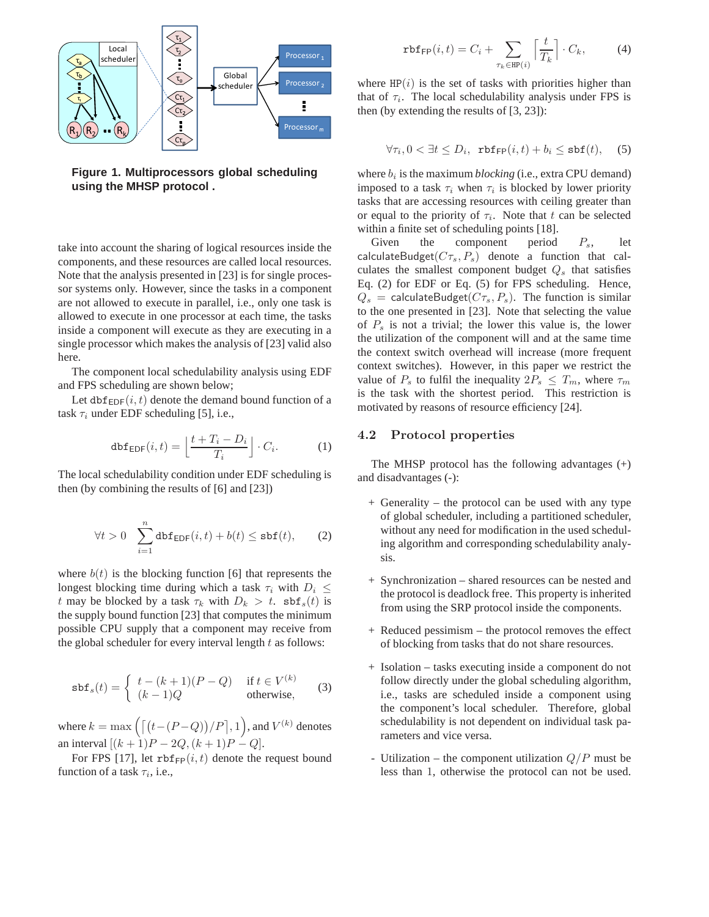

**Figure 1. Multiprocessors global scheduling using the MHSP protocol .**

take into account the sharing of logical resources inside the components, and these resources are called local resources. Note that the analysis presented in [23] is for single processor systems only. However, since the tasks in a component are not allowed to execute in parallel, i.e., only one task is allowed to execute in one processor at each time, the tasks inside a component will execute as they are executing in a single processor which makes the analysis of [23] valid also here.

The component local schedulability analysis using EDF and FPS scheduling are shown below;

Let db $f_{EDF}(i, t)$  denote the demand bound function of a task  $\tau_i$  under EDF scheduling [5], i.e.,

$$
\text{dbf}_{\text{EDF}}(i, t) = \left\lfloor \frac{t + T_i - D_i}{T_i} \right\rfloor \cdot C_i. \tag{1}
$$

The local schedulability condition under EDF scheduling is then (by combining the results of [6] and [23])

$$
\forall t > 0 \quad \sum_{i=1}^{n} \text{dbf}_{\text{EDF}}(i, t) + b(t) \leq \text{sbf}(t), \qquad (2)
$$

where  $b(t)$  is the blocking function [6] that represents the longest blocking time during which a task  $\tau_i$  with  $D_i \leq$ t may be blocked by a task  $\tau_k$  with  $D_k > t$ . sb $f_s(t)$  is the supply bound function [23] that computes the minimum possible CPU supply that a component may receive from the global scheduler for every interval length  $t$  as follows:

$$
\operatorname{sbf}_s(t) = \begin{cases} t - (k+1)(P-Q) & \text{if } t \in V^{(k)} \\ (k-1)Q & \text{otherwise,} \end{cases}
$$
 (3)

where  $k = \max\left(\left\lceil \frac{(t - (P - Q))}{P} \right\rceil, 1\right)$ , and  $V^{(k)}$  denotes an interval  $[(k+1)P - 2Q, (k+1)P - Q]$ .

For FPS [17], let  $\text{rbf}_{\text{FP}}(i, t)$  denote the request bound function of a task  $\tau_i$ , i.e.,

$$
\operatorname{rbf}_{\mathsf{FP}}(i,t) = C_i + \sum_{\tau_k \in \mathsf{HP}(i)} \left[ \frac{t}{T_k} \right] \cdot C_k, \tag{4}
$$

where  $HP(i)$  is the set of tasks with priorities higher than that of  $\tau_i$ . The local schedulability analysis under FPS is then (by extending the results of [3, 23]):

$$
\forall \tau_i, 0 < \exists t \le D_i, \ \text{rbf}_{\mathsf{FP}}(i, t) + b_i \le \text{sbf}(t), \quad (5)
$$

where  $b_i$  is the maximum *blocking* (i.e., extra CPU demand) imposed to a task  $\tau_i$  when  $\tau_i$  is blocked by lower priority tasks that are accessing resources with ceiling greater than or equal to the priority of  $\tau_i$ . Note that t can be selected within a finite set of scheduling points [18].

Given the component period  $P_s$ , let calculateBudget( $C\tau_s$ ,  $P_s$ ) denote a function that calculates the smallest component budget  $Q_s$  that satisfies Eq. (2) for EDF or Eq. (5) for FPS scheduling. Hence,  $Q_s =$  calculateBudget( $C\tau_s$ ,  $P_s$ ). The function is similar to the one presented in [23]. Note that selecting the value of  $P<sub>s</sub>$  is not a trivial; the lower this value is, the lower the utilization of the component will and at the same time the context switch overhead will increase (more frequent context switches). However, in this paper we restrict the value of  $P_s$  to fulfil the inequality  $2P_s \leq T_m$ , where  $\tau_m$ is the task with the shortest period. This restriction is motivated by reasons of resource efficiency [24].

#### 4.2 Protocol properties

The MHSP protocol has the following advantages  $(+)$ and disadvantages (-):

- + Generality the protocol can be used with any type of global scheduler, including a partitioned scheduler, without any need for modification in the used scheduling algorithm and corresponding schedulability analysis.
- + Synchronization shared resources can be nested and the protocol is deadlock free. This property is inherited from using the SRP protocol inside the components.
- + Reduced pessimism the protocol removes the effect of blocking from tasks that do not share resources.
- + Isolation tasks executing inside a component do not follow directly under the global scheduling algorithm, i.e., tasks are scheduled inside a component using the component's local scheduler. Therefore, global schedulability is not dependent on individual task parameters and vice versa.
- Utilization the component utilization  $Q/P$  must be less than 1, otherwise the protocol can not be used.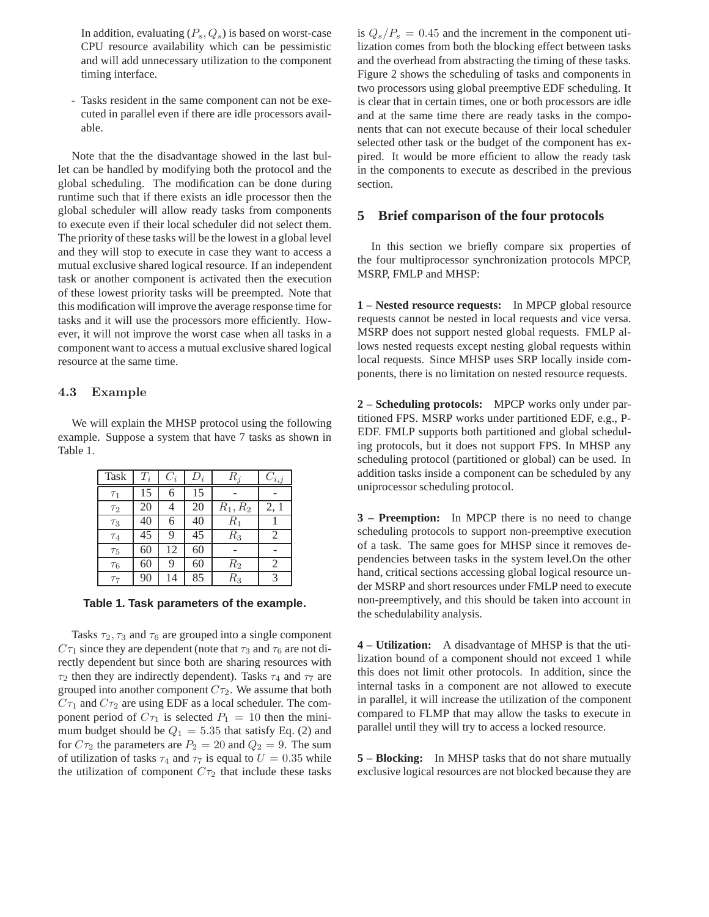In addition, evaluating  $(P_s, Q_s)$  is based on worst-case CPU resource availability which can be pessimistic and will add unnecessary utilization to the component timing interface.

- Tasks resident in the same component can not be executed in parallel even if there are idle processors available.

Note that the the disadvantage showed in the last bullet can be handled by modifying both the protocol and the global scheduling. The modification can be done during runtime such that if there exists an idle processor then the global scheduler will allow ready tasks from components to execute even if their local scheduler did not select them. The priority of these tasks will be the lowest in a global level and they will stop to execute in case they want to access a mutual exclusive shared logical resource. If an independent task or another component is activated then the execution of these lowest priority tasks will be preempted. Note that this modification will improve the average response time for tasks and it will use the processors more efficiently. However, it will not improve the worst case when all tasks in a component want to access a mutual exclusive shared logical resource at the same time.

#### 4.3 Example

We will explain the MHSP protocol using the following example. Suppose a system that have 7 tasks as shown in Table 1.

| <b>Task</b> | $T_i$ | $C_i$ | $D_i$ | $R_i$      | $C_{i,j}$ |
|-------------|-------|-------|-------|------------|-----------|
| $\tau_1$    | 15    | 6     | 15    |            |           |
| $\tau_2$    | 20    | 4     | 20    | $R_1, R_2$ | 2, 1      |
| $\tau_3$    | 40    | 6     | 40    | $R_1$      |           |
| $\tau_4$    | 45    | 9     | 45    | $R_3$      | 2         |
| $\tau_5$    | 60    | 12    | 60    |            |           |
| $\tau_6$    | 60    | 9     | 60    | $R_{2}$    | 2         |
| T7          | 90    | 14    | 85    | $R_{3}$    | 3         |

**Table 1. Task parameters of the example.**

Tasks  $\tau_2$ ,  $\tau_3$  and  $\tau_6$  are grouped into a single component  $C\tau_1$  since they are dependent (note that  $\tau_3$  and  $\tau_6$  are not directly dependent but since both are sharing resources with  $\tau_2$  then they are indirectly dependent). Tasks  $\tau_4$  and  $\tau_7$  are grouped into another component  $C_{\tau_2}$ . We assume that both  $C\tau_1$  and  $C\tau_2$  are using EDF as a local scheduler. The component period of  $C\tau_1$  is selected  $P_1 = 10$  then the minimum budget should be  $Q_1 = 5.35$  that satisfy Eq. (2) and for  $C\tau_2$  the parameters are  $P_2 = 20$  and  $Q_2 = 9$ . The sum of utilization of tasks  $\tau_4$  and  $\tau_7$  is equal to  $U = 0.35$  while the utilization of component  $C_{\tau_2}$  that include these tasks

is  $Q_s/P_s = 0.45$  and the increment in the component utilization comes from both the blocking effect between tasks and the overhead from abstracting the timing of these tasks. Figure 2 shows the scheduling of tasks and components in two processors using global preemptive EDF scheduling. It is clear that in certain times, one or both processors are idle and at the same time there are ready tasks in the components that can not execute because of their local scheduler selected other task or the budget of the component has expired. It would be more efficient to allow the ready task in the components to execute as described in the previous section.

## **5 Brief comparison of the four protocols**

In this section we briefly compare six properties of the four multiprocessor synchronization protocols MPCP, MSRP, FMLP and MHSP:

**1 – Nested resource requests:** In MPCP global resource requests cannot be nested in local requests and vice versa. MSRP does not support nested global requests. FMLP allows nested requests except nesting global requests within local requests. Since MHSP uses SRP locally inside components, there is no limitation on nested resource requests.

**2 – Scheduling protocols:** MPCP works only under partitioned FPS. MSRP works under partitioned EDF, e.g., P-EDF. FMLP supports both partitioned and global scheduling protocols, but it does not support FPS. In MHSP any scheduling protocol (partitioned or global) can be used. In addition tasks inside a component can be scheduled by any uniprocessor scheduling protocol.

**3 – Preemption:** In MPCP there is no need to change scheduling protocols to support non-preemptive execution of a task. The same goes for MHSP since it removes dependencies between tasks in the system level.On the other hand, critical sections accessing global logical resource under MSRP and short resources under FMLP need to execute non-preemptively, and this should be taken into account in the schedulability analysis.

**4 – Utilization:** A disadvantage of MHSP is that the utilization bound of a component should not exceed 1 while this does not limit other protocols. In addition, since the internal tasks in a component are not allowed to execute in parallel, it will increase the utilization of the component compared to FLMP that may allow the tasks to execute in parallel until they will try to access a locked resource.

**5 – Blocking:** In MHSP tasks that do not share mutually exclusive logical resources are not blocked because they are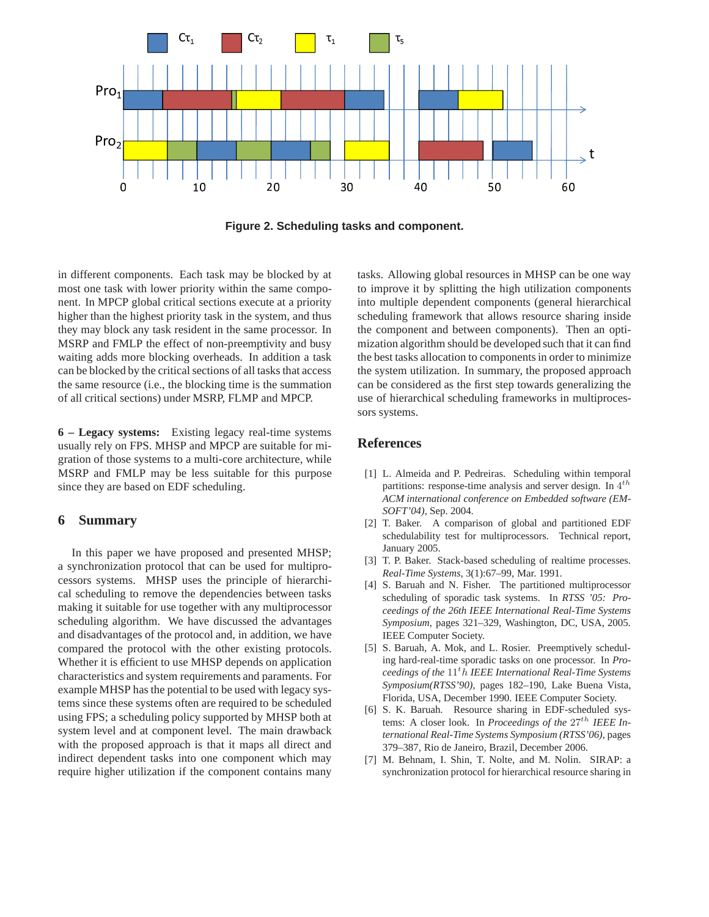

**Figure 2. Scheduling tasks and component.**

in different components. Each task may be blocked by at most one task with lower priority within the same component. In MPCP global critical sections execute at a priority higher than the highest priority task in the system, and thus they may block any task resident in the same processor. In MSRP and FMLP the effect of non-preemptivity and busy waiting adds more blocking overheads. In addition a task can be blocked by the critical sections of all tasks that access the same resource (i.e., the blocking time is the summation of all critical sections) under MSRP, FLMP and MPCP.

**6 – Legacy systems:** Existing legacy real-time systems usually rely on FPS. MHSP and MPCP are suitable for migration of those systems to a multi-core architecture, while MSRP and FMLP may be less suitable for this purpose since they are based on EDF scheduling.

## **6 Summary**

In this paper we have proposed and presented MHSP; a synchronization protocol that can be used for multiprocessors systems. MHSP uses the principle of hierarchical scheduling to remove the dependencies between tasks making it suitable for use together with any multiprocessor scheduling algorithm. We have discussed the advantages and disadvantages of the protocol and, in addition, we have compared the protocol with the other existing protocols. Whether it is efficient to use MHSP depends on application characteristics and system requirements and paraments. For example MHSP has the potential to be used with legacy systems since these systems often are required to be scheduled using FPS; a scheduling policy supported by MHSP both at system level and at component level. The main drawback with the proposed approach is that it maps all direct and indirect dependent tasks into one component which may require higher utilization if the component contains many tasks. Allowing global resources in MHSP can be one way to improve it by splitting the high utilization components into multiple dependent components (general hierarchical scheduling framework that allows resource sharing inside the component and between components). Then an optimization algorithm should be developed such that it can find the best tasks allocation to components in order to minimize the system utilization. In summary, the proposed approach can be considered as the first step towards generalizing the use of hierarchical scheduling frameworks in multiprocessors systems.

#### **References**

- [1] L. Almeida and P. Pedreiras. Scheduling within temporal partitions: response-time analysis and server design. In  $4^{th}$ *ACM international conference on Embedded software (EM-SOFT'04)*, Sep. 2004.
- [2] T. Baker. A comparison of global and partitioned EDF schedulability test for multiprocessors. Technical report, January 2005.
- [3] T. P. Baker. Stack-based scheduling of realtime processes. *Real-Time Systems*, 3(1):67–99, Mar. 1991.
- [4] S. Baruah and N. Fisher. The partitioned multiprocessor scheduling of sporadic task systems. In *RTSS '05: Proceedings of the 26th IEEE International Real-Time Systems Symposium*, pages 321–329, Washington, DC, USA, 2005. IEEE Computer Society.
- [5] S. Baruah, A. Mok, and L. Rosier. Preemptively scheduling hard-real-time sporadic tasks on one processor. In *Proceedings of the* 11<sup>t</sup>h *IEEE International Real-Time Systems Symposium(RTSS'90)*, pages 182–190, Lake Buena Vista, Florida, USA, December 1990. IEEE Computer Society.
- [6] S. K. Baruah. Resource sharing in EDF-scheduled systems: A closer look. In *Proceedings of the* 27<sup>th</sup> IEEE In*ternational Real-Time Systems Symposium (RTSS'06)*, pages 379–387, Rio de Janeiro, Brazil, December 2006.
- [7] M. Behnam, I. Shin, T. Nolte, and M. Nolin. SIRAP: a synchronization protocol for hierarchical resource sharing in